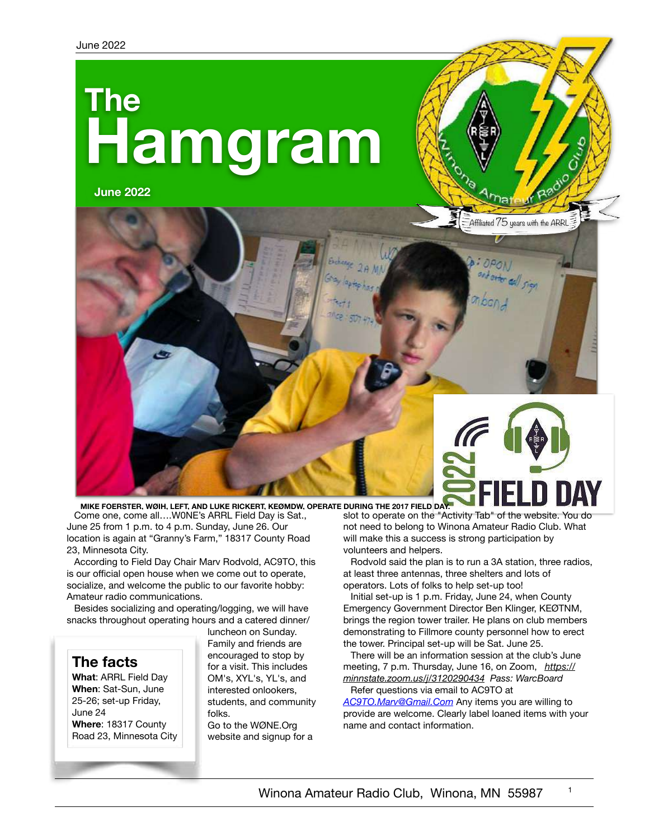# **Hamgram The**

**June 2022**



Come one, come all….W0NE's ARRL Field Day is Sat., June 25 from 1 p.m. to 4 p.m. Sunday, June 26. Our location is again at "Granny's Farm," 18317 County Road 23, Minnesota City. slot to operate on the "Activity Tab" of the website. You do volunteers and helpers. **MIKE FOERSTER, WØIH, LEFT, AND LUKE RICKERT, KEØMDW, OPERATE DURING THE 2017 FIELD DAY.**

According to Field Day Chair Marv Rodvold, AC9TO, this is our official open house when we come out to operate, socialize, and welcome the public to our favorite hobby: Amateur radio communications.

Besides socializing and operating/logging, we will have snacks throughout operating hours and a catered dinner/



25-26; set-up Friday, June 24 **Where**: 18317 County Road 23, Minnesota City luncheon on Sunday. Family and friends are encouraged to stop by for a visit. This includes OM's, XYL's, YL's, and interested onlookers, students, and community folks.

Go to the WØNE.Org website and signup for a not need to belong to Winona Amateur Radio Club. What will make this a success is strong participation by

Rodvold said the plan is to run a 3A station, three radios, at least three antennas, three shelters and lots of operators. Lots of folks to help set-up too!

Initial set-up is 1 p.m. Friday, June 24, when County Emergency Government Director Ben Klinger, KEØTNM, brings the region tower trailer. He plans on club members demonstrating to Fillmore county personnel how to erect the tower. Principal set-up will be Sat. June 25.

There will be an information session at the club's June meeting, 7 p.m. Thursday, June 16, on Zoom, *[https://](https://minnstate.zoom.us/j/3120290434) [minnstate.zoom.us/j/3120290434](https://minnstate.zoom.us/j/3120290434) Pass: WarcBoard* Refer questions via email to AC9TO at

*[AC9TO.Marv@Gmail.Com](mailto:AC9TO.Marv@Gmail.Com)* Any items you are willing to provide are welcome. Clearly label loaned items with your name and contact information.

1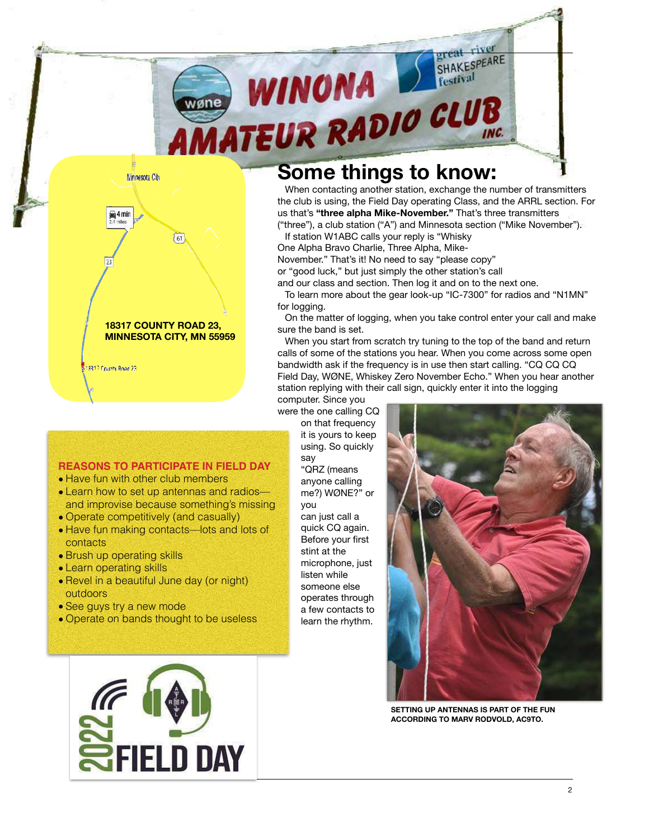

**18317 COUNTY ROAD 23, MINNESOTA CITY, MN 55959** 18317 County Road 23

 $\left(61\right)$ 

Minnesota City

 $4 min$ 

# **Some things to know:**

When contacting another station, exchange the number of transmitters the club is using, the Field Day operating Class, and the ARRL section. For us that's **"three alpha Mike-November."** That's three transmitters ("three"), a club station ("A") and Minnesota section ("Mike November").

If station W1ABC calls your reply is "Whisky

One Alpha Bravo Charlie, Three Alpha, Mike-

November." That's it! No need to say "please copy"

or "good luck," but just simply the other station's call

and our class and section. Then log it and on to the next one.

To learn more about the gear look-up "IC-7300" for radios and "N1MN" for logging.

On the matter of logging, when you take control enter your call and make sure the band is set.

When you start from scratch try tuning to the top of the band and return calls of some of the stations you hear. When you come across some open bandwidth ask if the frequency is in use then start calling. "CQ CQ CQ Field Day, WØNE, Whiskey Zero November Echo." When you hear another station replying with their call sign, quickly enter it into the logging computer. Since you

were the one calling CQ

on that frequency it is yours to keep using. So quickly say "QRZ (means anyone calling me?) WØNE?" or

you can just call a quick CQ again. Before your first stint at the microphone, just listen while someone else operates through a few contacts to learn the rhythm.



**SETTING UP ANTENNAS IS PART OF THE FUN ACCORDING TO MARV RODVOLD, AC9TO.**

#### **REASONS TO PARTICIPATE IN FIELD DAY**

- Have fun with other club members
- Learn how to set up antennas and radios and improvise because something's missing
- Operate competitively (and casually)
- Have fun making contacts—lots and lots of **contacts**
- Brush up operating skills
- Learn operating skills
- Revel in a beautiful June day (or night) outdoors
- See guys try a new mode
- Operate on bands thought to be useless

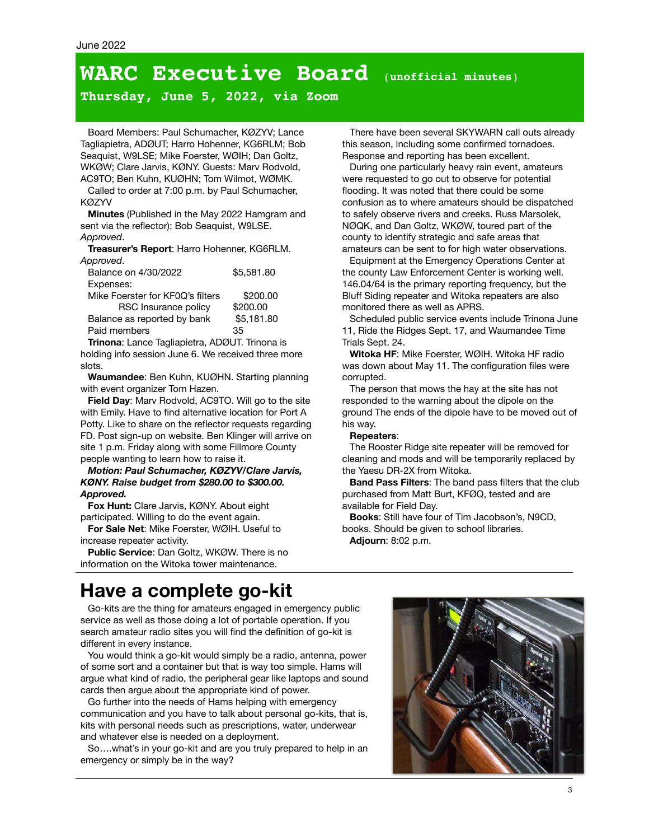# **WARC Executive Board** (**unofficial minutes**)

**Thursday, June 5, 2022, via Zoom**

Board Members: Paul Schumacher, KØZYV; Lance Tagliapietra, ADØUT; Harro Hohenner, KG6RLM; Bob Seaquist, W9LSE; Mike Foerster, WØIH; Dan Goltz, WKØW; Clare Jarvis, KØNY. Guests: Marv Rodvold, AC9TO; Ben Kuhn, KUØHN; Tom Wilmot, WØMK.

Called to order at 7:00 p.m. by Paul Schumacher, KØZYV

**Minutes** (Published in the May 2022 Hamgram and sent via the reflector): Bob Seaquist, W9LSE. *Approved*.

**Treasurer's Report**: Harro Hohenner, KG6RLM. *Approved*.

| Balance on 4/30/2022             | \$5,581.80 |
|----------------------------------|------------|
| Expenses:                        |            |
| Mike Foerster for KF0Q's filters | \$200.00   |
| RSC Insurance policy             | \$200.00   |
| Balance as reported by bank      | \$5,181.80 |
| Paid members                     | 35         |

**Trinona**: Lance Tagliapietra, ADØUT. Trinona is holding info session June 6. We received three more slots.

**Waumandee**: Ben Kuhn, KUØHN. Starting planning with event organizer Tom Hazen.

**Field Day**: Marv Rodvold, AC9TO. Will go to the site with Emily. Have to find alternative location for Port A Potty. Like to share on the reflector requests regarding FD. Post sign-up on website. Ben Klinger will arrive on site 1 p.m. Friday along with some Fillmore County people wanting to learn how to raise it.

#### *Motion: Paul Schumacher, KØZYV/Clare Jarvis, KØNY. Raise budget from \$280.00 to \$300.00. Approved.*

**Fox Hunt:** Clare Jarvis, KØNY. About eight participated. Willing to do the event again.

**For Sale Net**: Mike Foerster, WØIH. Useful to increase repeater activity.

**Public Service**: Dan Goltz, WKØW. There is no information on the Witoka tower maintenance.

There have been several SKYWARN call outs already this season, including some confirmed tornadoes. Response and reporting has been excellent.

During one particularly heavy rain event, amateurs were requested to go out to observe for potential flooding. It was noted that there could be some confusion as to where amateurs should be dispatched to safely observe rivers and creeks. Russ Marsolek, NØQK, and Dan Goltz, WKØW, toured part of the county to identify strategic and safe areas that amateurs can be sent to for high water observations.

Equipment at the Emergency Operations Center at the county Law Enforcement Center is working well. 146.04/64 is the primary reporting frequency, but the Bluff Siding repeater and Witoka repeaters are also monitored there as well as APRS.

Scheduled public service events include Trinona June 11, Ride the Ridges Sept. 17, and Waumandee Time Trials Sept. 24.

**Witoka HF**: Mike Foerster, WØIH. Witoka HF radio was down about May 11. The configuration files were corrupted.

The person that mows the hay at the site has not responded to the warning about the dipole on the ground The ends of the dipole have to be moved out of his way.

#### **Repeaters**:

The Rooster Ridge site repeater will be removed for cleaning and mods and will be temporarily replaced by the Yaesu DR-2X from Witoka.

**Band Pass Filters**: The band pass filters that the club purchased from Matt Burt, KFØQ, tested and are available for Field Day.

**Books**: Still have four of Tim Jacobson's, N9CD, books. Should be given to school libraries. **Adjourn**: 8:02 p.m.

# **Have a complete go-kit**

Go-kits are the thing for amateurs engaged in emergency public service as well as those doing a lot of portable operation. If you search amateur radio sites you will find the definition of go-kit is different in every instance.

You would think a go-kit would simply be a radio, antenna, power of some sort and a container but that is way too simple. Hams will argue what kind of radio, the peripheral gear like laptops and sound cards then argue about the appropriate kind of power.

Go further into the needs of Hams helping with emergency communication and you have to talk about personal go-kits, that is, kits with personal needs such as prescriptions, water, underwear and whatever else is needed on a deployment.

So….what's in your go-kit and are you truly prepared to help in an emergency or simply be in the way?

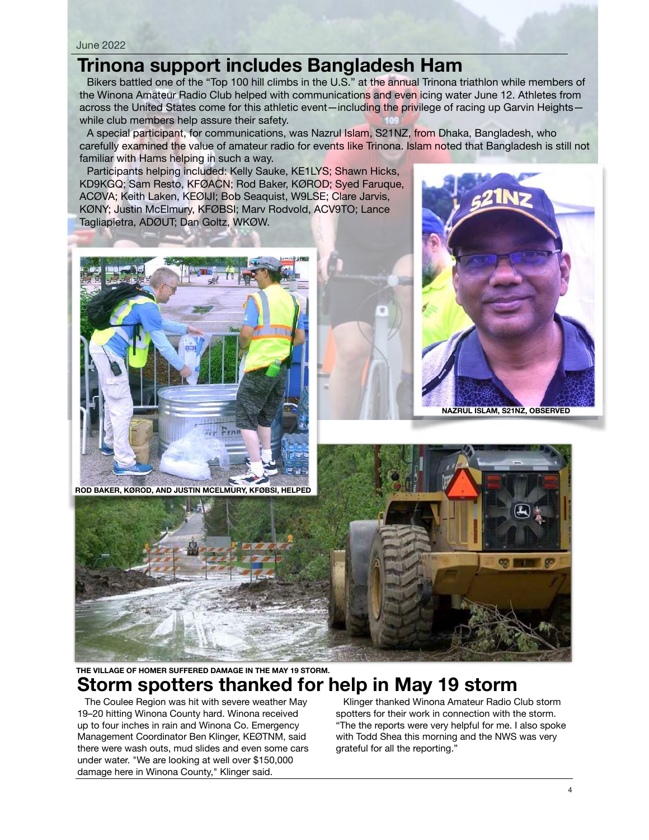#### June 2022

## **Trinona support includes Bangladesh Ham**

Bikers battled one of the "Top 100 hill climbs in the U.S." at the annual Trinona triathlon while members of the Winona Amateur Radio Club helped with communications and even icing water June 12. Athletes from across the United States come for this athletic event—including the privilege of racing up Garvin Heights while club members help assure their safety.

A special participant, for communications, was Nazrul Islam, S21NZ, from Dhaka, Bangladesh, who carefully examined the value of amateur radio for events like Trinona. Islam noted that Bangladesh is still not familiar with Hams helping in such a way.

Participants helping included: Kelly Sauke, KE1LYS; Shawn Hicks, KD9KGQ; Sam Resto, KFØACN; Rod Baker, KØROD; Syed Faruque, ACØVA; Keith Laken, KEØIJI; Bob Seaquist, W9LSE; Clare Jarvis, KØNY; Justin McElmury, KFØBSI; Marv Rodvold, ACV9TO; Lance Tagliapietra, ADØUT; Dan Goltz, WKØW.





**NAZRUL ISLAM, S21NZ, OBSERVED**

**ROD BAKER, KØROD, AND JUSTIN MCELMURY, KFØBSI, HELPED**



## **THE VILLAGE OF HOMER SUFFERED DAMAGE IN THE MAY 19 STORM. Storm spotters thanked for help in May 19 storm**

The Coulee Region was hit with severe weather May 19–20 hitting Winona County hard. Winona received up to four inches in rain and Winona Co. Emergency Management Coordinator Ben Klinger, KEØTNM, said there were wash outs, mud slides and even some cars under water. "We are looking at well over \$150,000 damage here in Winona County," Klinger said.

Klinger thanked Winona Amateur Radio Club storm spotters for their work in connection with the storm. "The the reports were very helpful for me. I also spoke with Todd Shea this morning and the NWS was very grateful for all the reporting."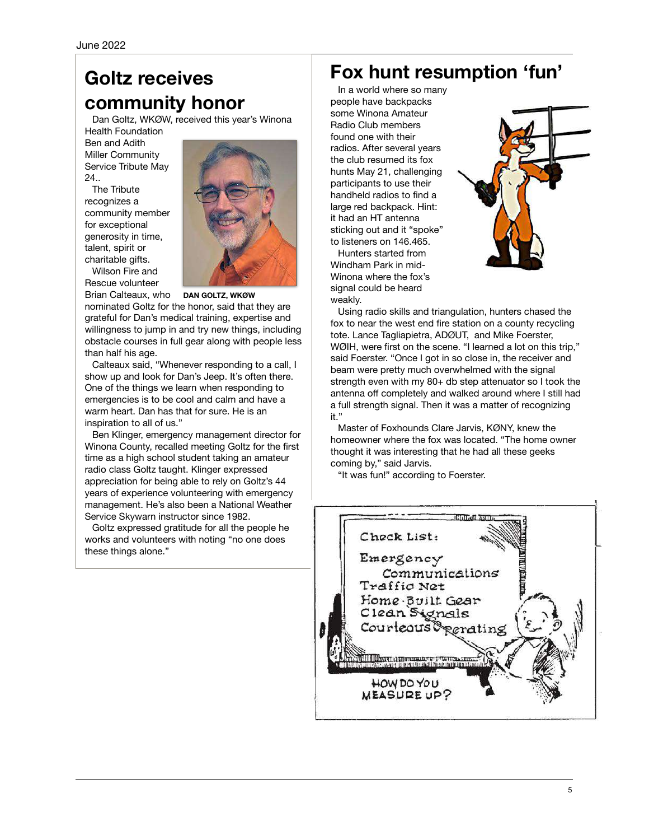# **Goltz receives community honor**

Dan Goltz, WKØW, received this year's Winona Health Foundation

Ben and Adith Miller Community Service Tribute May 24

The Tribute recognizes a community member for exceptional generosity in time, talent, spirit or charitable gifts.

Wilson Fire and Rescue volunteer



Brian Calteaux, who **DAN GOLTZ, WKØW**

nominated Goltz for the honor, said that they are grateful for Dan's medical training, expertise and willingness to jump in and try new things, including obstacle courses in full gear along with people less than half his age.

Calteaux said, "Whenever responding to a call, I show up and look for Dan's Jeep. It's often there. One of the things we learn when responding to emergencies is to be cool and calm and have a warm heart. Dan has that for sure. He is an inspiration to all of us."

Ben Klinger, emergency management director for Winona County, recalled meeting Goltz for the first time as a high school student taking an amateur radio class Goltz taught. Klinger expressed appreciation for being able to rely on Goltz's 44 years of experience volunteering with emergency management. He's also been a National Weather Service Skywarn instructor since 1982.

Goltz expressed gratitude for all the people he works and volunteers with noting "no one does these things alone."

# **Fox hunt resumption 'fun'**

In a world where so many people have backpacks some Winona Amateur Radio Club members found one with their radios. After several years the club resumed its fox hunts May 21, challenging participants to use their handheld radios to find a large red backpack. Hint: it had an HT antenna sticking out and it "spoke" to listeners on 146.465.

Hunters started from Windham Park in mid-Winona where the fox's signal could be heard weakly.



Using radio skills and triangulation, hunters chased the fox to near the west end fire station on a county recycling tote. Lance Tagliapietra, ADØUT, and Mike Foerster, WØIH, were first on the scene. "I learned a lot on this trip," said Foerster. "Once I got in so close in, the receiver and beam were pretty much overwhelmed with the signal strength even with my 80+ db step attenuator so I took the antenna off completely and walked around where I still had a full strength signal. Then it was a matter of recognizing it."

Master of Foxhounds Clare Jarvis, KØNY, knew the homeowner where the fox was located. "The home owner thought it was interesting that he had all these geeks coming by," said Jarvis.

"It was fun!" according to Foerster.